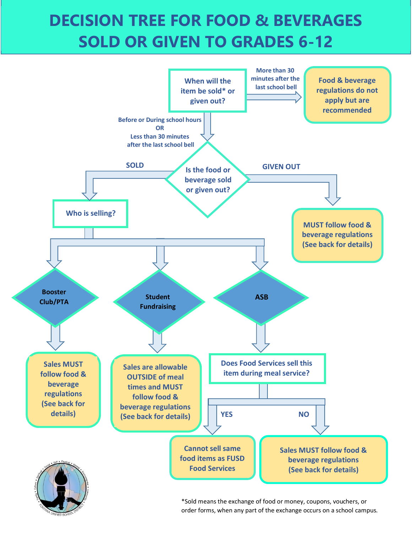# **DECISION TREE FOR FOOD & BEVERAGES SOLD OR GIVEN TO GRADES 6-12**



\*Sold means the exchange of food or money, coupons, vouchers, or order forms, when any part of the exchange occurs on a school campus.